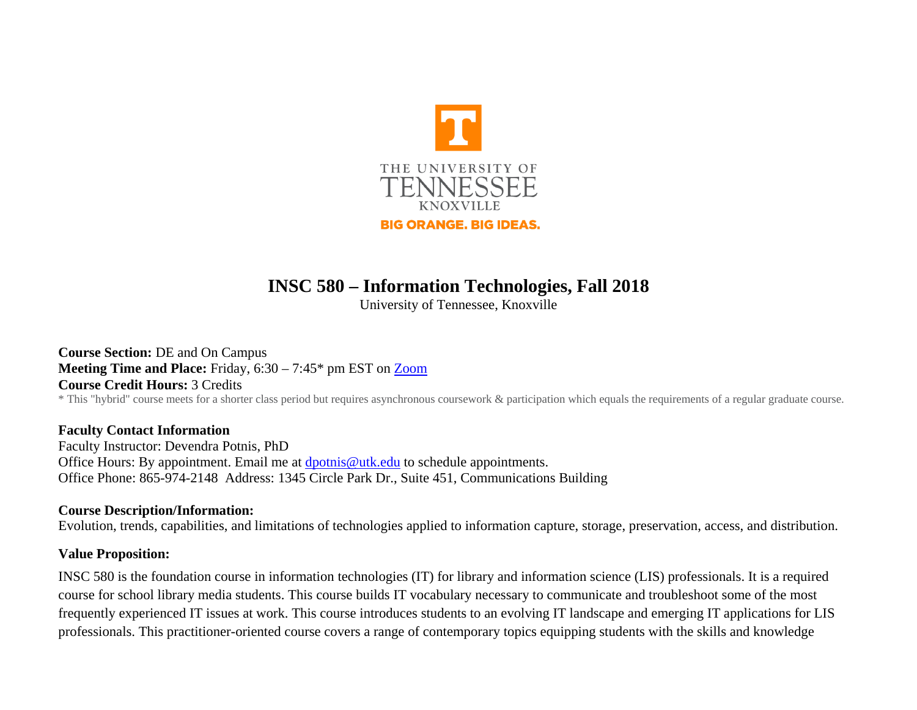

# **INSC 580 – Information Technologies, Fall 2018**

University of Tennessee, Knoxville

**Course Section:** DE and On Campus **Meeting Time and Place:** Friday, 6:30 – 7:45\* pm EST on [Zoom](https://tennessee.zoom.us/j/872587141)  **Course Credit Hours:** 3 Credits \* This "hybrid" course meets for a shorter class period but requires asynchronous coursework & participation which equals the requirements of a regular graduate course.

**Faculty Contact Information** Faculty Instructor: Devendra Potnis, PhD Office Hours: By appointment. Email me at [dpotnis@utk.edu](mailto:dpotnis@utk.edu) to schedule appointments. Office Phone: 865-974-2148 Address: 1345 Circle Park Dr., Suite 451, Communications Building

#### **Course Description/Information:**

Evolution, trends, capabilities, and limitations of technologies applied to information capture, storage, preservation, access, and distribution.

#### **Value Proposition:**

INSC 580 is the foundation course in information technologies (IT) for library and information science (LIS) professionals. It is a required course for school library media students. This course builds IT vocabulary necessary to communicate and troubleshoot some of the most frequently experienced IT issues at work. This course introduces students to an evolving IT landscape and emerging IT applications for LIS professionals. This practitioner-oriented course covers a range of contemporary topics equipping students with the skills and knowledge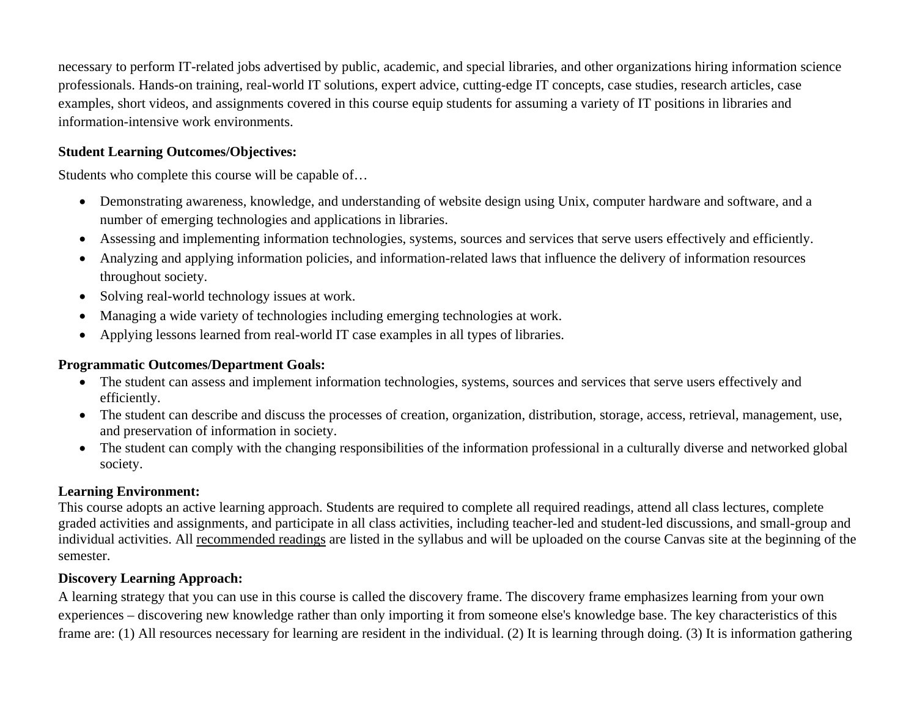necessary to perform IT-related jobs advertised by public, academic, and special libraries, and other organizations hiring information science professionals. Hands-on training, real-world IT solutions, expert advice, cutting-edge IT concepts, case studies, research articles, case examples, short videos, and assignments covered in this course equip students for assuming a variety of IT positions in libraries and information-intensive work environments.

## **Student Learning Outcomes/Objectives:**

Students who complete this course will be capable of…

- Demonstrating awareness, knowledge, and understanding of website design using Unix, computer hardware and software, and a number of emerging technologies and applications in libraries.
- Assessing and implementing information technologies, systems, sources and services that serve users effectively and efficiently.
- Analyzing and applying information policies, and information-related laws that influence the delivery of information resources throughout society.
- Solving real-world technology issues at work.
- Managing a wide variety of technologies including emerging technologies at work.
- Applying lessons learned from real-world IT case examples in all types of libraries.

## **Programmatic Outcomes/Department Goals:**

- The student can assess and implement information technologies, systems, sources and services that serve users effectively and efficiently.
- The student can describe and discuss the processes of creation, organization, distribution, storage, access, retrieval, management, use, and preservation of information in society.
- The student can comply with the changing responsibilities of the information professional in a culturally diverse and networked global society.

## **Learning Environment:**

This course adopts an active learning approach. Students are required to complete all required readings, attend all class lectures, complete graded activities and assignments, and participate in all class activities, including teacher-led and student-led discussions, and small-group and individual activities. All recommended readings are listed in the syllabus and will be uploaded on the course Canvas site at the beginning of the semester.

## **Discovery Learning Approach:**

A learning strategy that you can use in this course is called the discovery frame. The discovery frame emphasizes learning from your own experiences – discovering new knowledge rather than only importing it from someone else's knowledge base. The key characteristics of this frame are: (1) All resources necessary for learning are resident in the individual. (2) It is learning through doing. (3) It is information gathering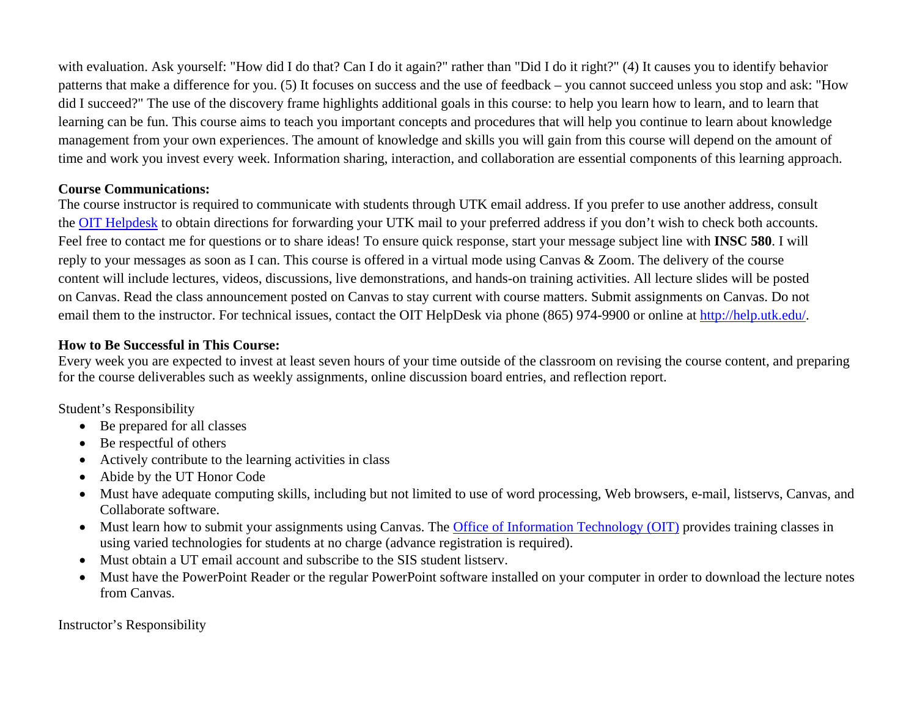with evaluation. Ask yourself: "How did I do that? Can I do it again?" rather than "Did I do it right?" (4) It causes you to identify behavior patterns that make a difference for you. (5) It focuses on success and the use of feedback – you cannot succeed unless you stop and ask: "How did I succeed?" The use of the discovery frame highlights additional goals in this course: to help you learn how to learn, and to learn that learning can be fun. This course aims to teach you important concepts and procedures that will help you continue to learn about knowledge management from your own experiences. The amount of knowledge and skills you will gain from this course will depend on the amount of time and work you invest every week. Information sharing, interaction, and collaboration are essential components of this learning approach.

#### **Course Communications:**

The course instructor is required to communicate with students through UTK email address. If you prefer to use another address, consult the **OIT** Helpdesk to obtain directions for forwarding your UTK mail to your preferred address if you don't wish to check both accounts. Feel free to contact me for questions or to share ideas! To ensure quick response, start your message subject line with **INSC 580**. I will reply to your messages as soon as I can. This course is offered in a virtual mode using Canvas & Zoom. The delivery of the course content will include lectures, videos, discussions, live demonstrations, and hands-on training activities. All lecture slides will be posted on Canvas. Read the class announcement posted on Canvas to stay current with course matters. Submit assignments on Canvas. Do not email them to the instructor. For technical issues, contact the OIT HelpDesk via phone (865) 974-9900 or online at [http://help.utk.edu/.](http://help.utk.edu/)

#### **How to Be Successful in This Course:**

Every week you are expected to invest at least seven hours of your time outside of the classroom on revising the course content, and preparing for the course deliverables such as weekly assignments, online discussion board entries, and reflection report.

Student's Responsibility

- Be prepared for all classes
- Be respectful of others
- Actively contribute to the learning activities in class
- Abide by the UT Honor Code
- Must have adequate computing skills, including but not limited to use of word processing, Web browsers, e-mail, listservs, Canvas, and Collaborate software.
- Must learn how to submit your assignments using Canvas. The [Office of Information Technology \(OIT\)](http://oit.utk.edu/) provides training classes in using varied technologies for students at no charge (advance registration is required).
- Must obtain a UT email account and subscribe to the SIS student listserv.
- Must have the PowerPoint Reader or the regular PowerPoint software installed on your computer in order to download the lecture notes from Canvas.

Instructor's Responsibility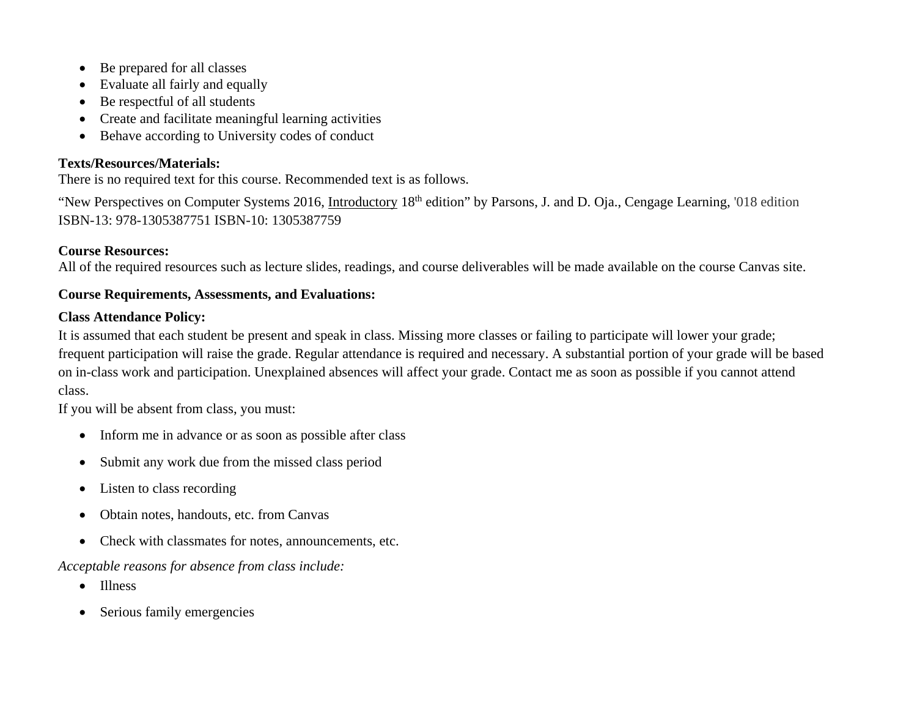- Be prepared for all classes
- Evaluate all fairly and equally
- Be respectful of all students
- Create and facilitate meaningful learning activities
- Behave according to University codes of conduct

#### **Texts/Resources/Materials:**

There is no required text for this course. Recommended text is as follows.

"New Perspectives on Computer Systems 2016, Introductory 18<sup>th</sup> edition" by Parsons, J. and D. Oja., Cengage Learning, '018 edition ISBN-13: 978-1305387751 ISBN-10: 1305387759

#### **Course Resources:**

All of the required resources such as lecture slides, readings, and course deliverables will be made available on the course Canvas site.

#### **Course Requirements, Assessments, and Evaluations:**

#### **Class Attendance Policy:**

It is assumed that each student be present and speak in class. Missing more classes or failing to participate will lower your grade; frequent participation will raise the grade. Regular attendance is required and necessary. A substantial portion of your grade will be based on in-class work and participation. Unexplained absences will affect your grade. Contact me as soon as possible if you cannot attend class.

If you will be absent from class, you must:

- Inform me in advance or as soon as possible after class
- Submit any work due from the missed class period
- Listen to class recording
- Obtain notes, handouts, etc. from Canvas
- Check with classmates for notes, announcements, etc.

## *Acceptable reasons for absence from class include:*

- Illness
- Serious family emergencies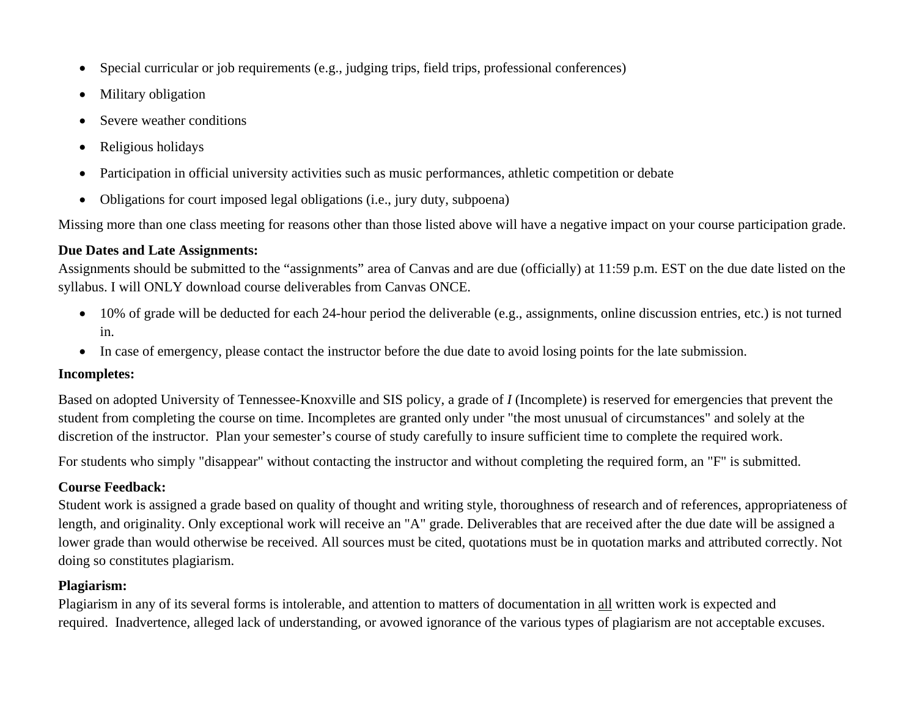- Special curricular or job requirements (e.g., judging trips, field trips, professional conferences)
- Military obligation
- Severe weather conditions
- Religious holidays
- Participation in official university activities such as music performances, athletic competition or debate
- Obligations for court imposed legal obligations (i.e., jury duty, subpoena)

Missing more than one class meeting for reasons other than those listed above will have a negative impact on your course participation grade.

## **Due Dates and Late Assignments:**

Assignments should be submitted to the "assignments" area of Canvas and are due (officially) at 11:59 p.m. EST on the due date listed on the syllabus. I will ONLY download course deliverables from Canvas ONCE.

- 10% of grade will be deducted for each 24-hour period the deliverable (e.g., assignments, online discussion entries, etc.) is not turned in.
- In case of emergency, please contact the instructor before the due date to avoid losing points for the late submission.

#### **Incompletes:**

Based on adopted University of Tennessee-Knoxville and SIS policy, a grade of *I* (Incomplete) is reserved for emergencies that prevent the student from completing the course on time. Incompletes are granted only under "the most unusual of circumstances" and solely at the discretion of the instructor. Plan your semester's course of study carefully to insure sufficient time to complete the required work.

For students who simply "disappear" without contacting the instructor and without completing the required form, an "F" is submitted.

## **Course Feedback:**

Student work is assigned a grade based on quality of thought and writing style, thoroughness of research and of references, appropriateness of length, and originality. Only exceptional work will receive an "A" grade. Deliverables that are received after the due date will be assigned a lower grade than would otherwise be received. All sources must be cited, quotations must be in quotation marks and attributed correctly. Not doing so constitutes plagiarism.

## **Plagiarism:**

Plagiarism in any of its several forms is intolerable, and attention to matters of documentation in all written work is expected and required. Inadvertence, alleged lack of understanding, or avowed ignorance of the various types of plagiarism are not acceptable excuses.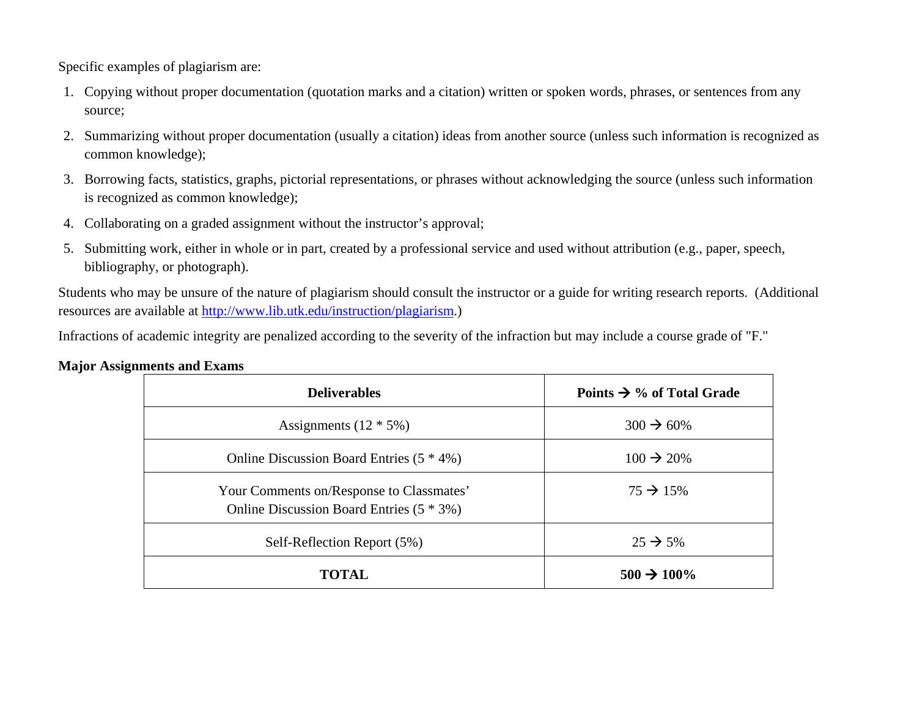Specific examples of plagiarism are:

- 1. Copying without proper documentation (quotation marks and a citation) written or spoken words, phrases, or sentences from any source;
- 2. Summarizing without proper documentation (usually a citation) ideas from another source (unless such information is recognized as common knowledge);
- 3. Borrowing facts, statistics, graphs, pictorial representations, or phrases without acknowledging the source (unless such information is recognized as common knowledge);
- 4. Collaborating on a graded assignment without the instructor's approval;
- 5. Submitting work, either in whole or in part, created by a professional service and used without attribution (e.g., paper, speech, bibliography, or photograph).

Students who may be unsure of the nature of plagiarism should consult the instructor or a guide for writing research reports. (Additional resources are available at [http://www.lib.utk.edu/instruction/plagiarism.](http://www.lib.utk.edu/instruction/plagiarism))

Infractions of academic integrity are penalized according to the severity of the infraction but may include a course grade of "F."

#### **Major Assignments and Exams**

| <b>Deliverables</b>                                                                    | Points $\rightarrow$ % of Total Grade |
|----------------------------------------------------------------------------------------|---------------------------------------|
| Assignments $(12 * 5%)$                                                                | $300 \div 60\%$                       |
| Online Discussion Board Entries $(5 * 4%)$                                             | $100 \rightarrow 20\%$                |
| Your Comments on/Response to Classmates'<br>Online Discussion Board Entries $(5 * 3%)$ | $75 \rightarrow 15\%$                 |
| Self-Reflection Report (5%)                                                            | $25 \rightarrow 5\%$                  |
| TOTAL.                                                                                 | $500 \div 100\%$                      |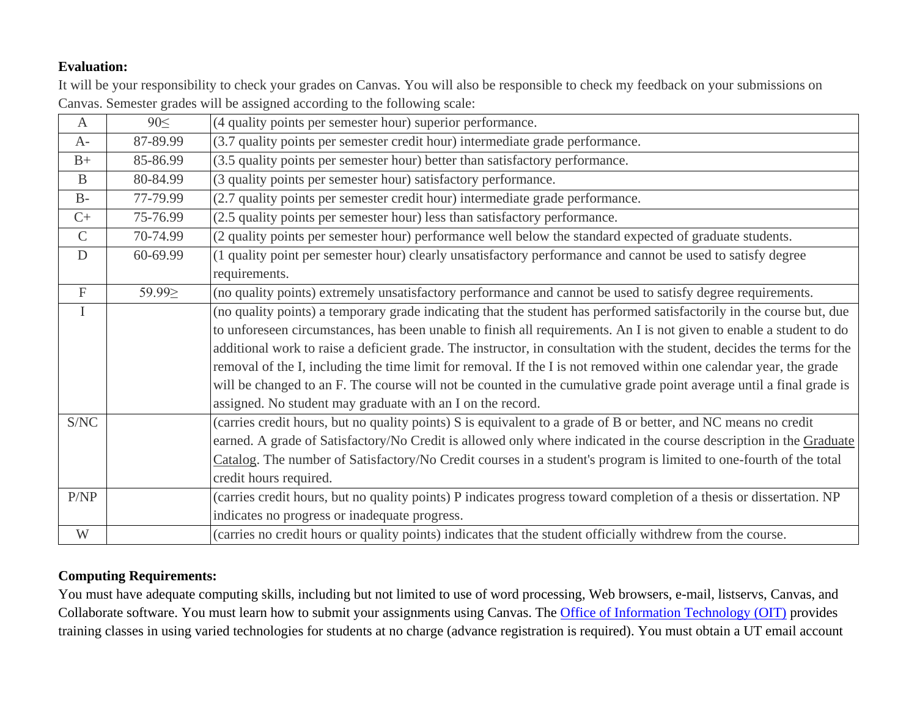#### **Evaluation:**

It will be your responsibility to check your grades on Canvas. You will also be responsible to check my feedback on your submissions on Canvas. Semester grades will be assigned according to the following scale:

| $\mathbf{A}$  | $90\leq$ | (4 quality points per semester hour) superior performance.                                                              |
|---------------|----------|-------------------------------------------------------------------------------------------------------------------------|
| $A-$          | 87-89.99 | (3.7 quality points per semester credit hour) intermediate grade performance.                                           |
| $B+$          | 85-86.99 | (3.5 quality points per semester hour) better than satisfactory performance.                                            |
| B             | 80-84.99 | (3 quality points per semester hour) satisfactory performance.                                                          |
| $B-$          | 77-79.99 | (2.7 quality points per semester credit hour) intermediate grade performance.                                           |
| $C+$          | 75-76.99 | (2.5 quality points per semester hour) less than satisfactory performance.                                              |
| $\mathcal{C}$ | 70-74.99 | (2 quality points per semester hour) performance well below the standard expected of graduate students.                 |
| D             | 60-69.99 | (1 quality point per semester hour) clearly unsatisfactory performance and cannot be used to satisfy degree             |
|               |          | requirements.                                                                                                           |
| $\mathbf F$   | 59.99    | (no quality points) extremely unsatisfactory performance and cannot be used to satisfy degree requirements.             |
| $\mathbf I$   |          | (no quality points) a temporary grade indicating that the student has performed satisfactorily in the course but, due   |
|               |          | to unforeseen circumstances, has been unable to finish all requirements. An I is not given to enable a student to do    |
|               |          | additional work to raise a deficient grade. The instructor, in consultation with the student, decides the terms for the |
|               |          | removal of the I, including the time limit for removal. If the I is not removed within one calendar year, the grade     |
|               |          | will be changed to an F. The course will not be counted in the cumulative grade point average until a final grade is    |
|               |          | assigned. No student may graduate with an I on the record.                                                              |
| S/NC          |          | (carries credit hours, but no quality points) S is equivalent to a grade of B or better, and NC means no credit         |
|               |          | earned. A grade of Satisfactory/No Credit is allowed only where indicated in the course description in the Graduate     |
|               |          | Catalog. The number of Satisfactory/No Credit courses in a student's program is limited to one-fourth of the total      |
|               |          | credit hours required.                                                                                                  |
| P/NP          |          | (carries credit hours, but no quality points) P indicates progress toward completion of a thesis or dissertation. NP    |
|               |          | indicates no progress or inadequate progress.                                                                           |
| W             |          | (carries no credit hours or quality points) indicates that the student officially withdrew from the course.             |

## **Computing Requirements:**

You must have adequate computing skills, including but not limited to use of word processing, Web browsers, e-mail, listservs, Canvas, and Collaborate software. You must learn how to submit your assignments using Canvas. The [Office of Information Technology \(OIT\)](http://oit.utk.edu/) provides training classes in using varied technologies for students at no charge (advance registration is required). You must obtain a UT email account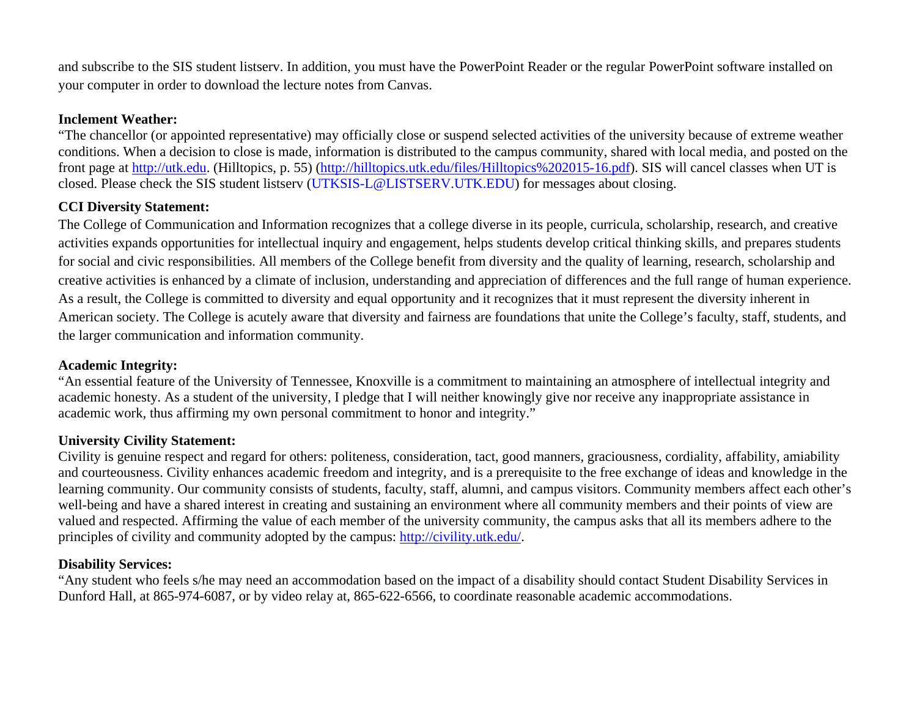and subscribe to the SIS student listserv. In addition, you must have the PowerPoint Reader or the regular PowerPoint software installed on your computer in order to download the lecture notes from Canvas.

#### **Inclement Weather:**

"The chancellor (or appointed representative) may officially close or suspend selected activities of the university because of extreme weather conditions. When a decision to close is made, information is distributed to the campus community, shared with local media, and posted on the front page at [http://utk.edu.](http://utk.edu/) (Hilltopics, p. 55) [\(http://hilltopics.utk.edu/files/Hilltopics%202015-16.pdf\)](http://hilltopics.utk.edu/files/Hilltopics%202015-16.pdf). SIS will cancel classes when UT is closed. Please check the SIS student listserv (UTKSIS-L@LISTSERV.UTK.EDU) for messages about closing.

## **CCI Diversity Statement:**

The College of Communication and Information recognizes that a college diverse in its people, curricula, scholarship, research, and creative activities expands opportunities for intellectual inquiry and engagement, helps students develop critical thinking skills, and prepares students for social and civic responsibilities. All members of the College benefit from diversity and the quality of learning, research, scholarship and creative activities is enhanced by a climate of inclusion, understanding and appreciation of differences and the full range of human experience. As a result, the College is committed to diversity and equal opportunity and it recognizes that it must represent the diversity inherent in American society. The College is acutely aware that diversity and fairness are foundations that unite the College's faculty, staff, students, and the larger communication and information community.

#### **Academic Integrity:**

"An essential feature of the University of Tennessee, Knoxville is a commitment to maintaining an atmosphere of intellectual integrity and academic honesty. As a student of the university, I pledge that I will neither knowingly give nor receive any inappropriate assistance in academic work, thus affirming my own personal commitment to honor and integrity."

#### **University Civility Statement:**

Civility is genuine respect and regard for others: politeness, consideration, tact, good manners, graciousness, cordiality, affability, amiability and courteousness. Civility enhances academic freedom and integrity, and is a prerequisite to the free exchange of ideas and knowledge in the learning community. Our community consists of students, faculty, staff, alumni, and campus visitors. Community members affect each other's well-being and have a shared interest in creating and sustaining an environment where all community members and their points of view are valued and respected. Affirming the value of each member of the university community, the campus asks that all its members adhere to the principles of civility and community adopted by the campus: [http://civility.utk.edu/.](http://civility.utk.edu/)

## **Disability Services:**

"Any student who feels s/he may need an accommodation based on the impact of a disability should contact Student Disability Services in Dunford Hall, at 865-974-6087, or by video relay at, 865-622-6566, to coordinate reasonable academic accommodations.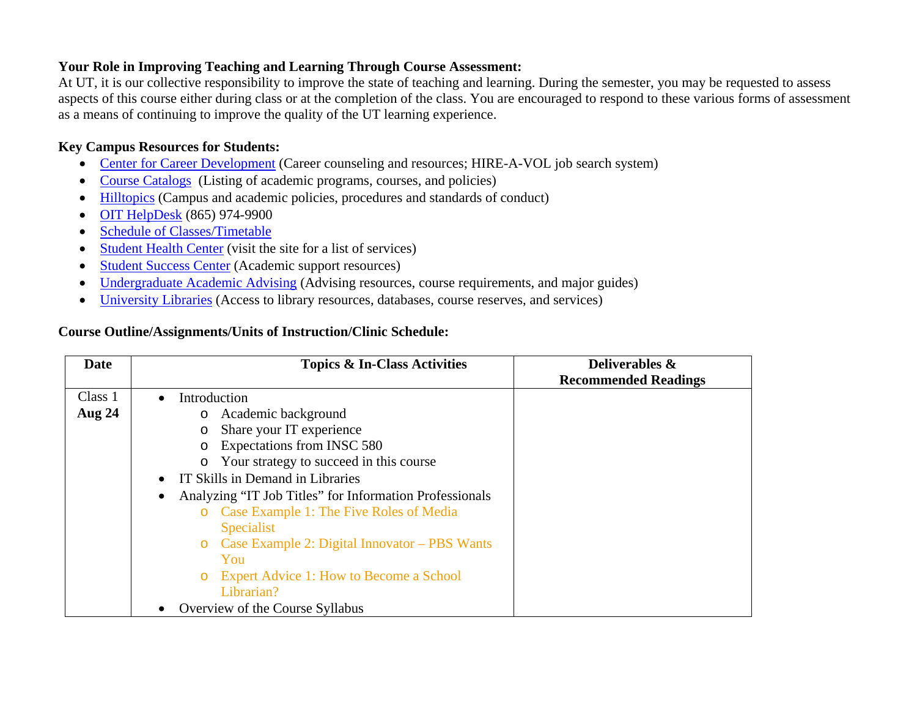#### **Your Role in Improving Teaching and Learning Through Course Assessment:**

At UT, it is our collective responsibility to improve the state of teaching and learning. During the semester, you may be requested to assess aspects of this course either during class or at the completion of the class. You are encouraged to respond to these various forms of assessment as a means of continuing to improve the quality of the UT learning experience.

## **Key Campus Resources for Students:**

- [Center for Career Development](http://career.utk.edu/) (Career counseling and resources; HIRE-A-VOL job search system)
- [Course Catalogs](http://catalog.utk.edu/) (Listing of academic programs, courses, and policies)
- [Hilltopics](http://hilltopics.utk.edu/) (Campus and academic policies, procedures and standards of conduct)
- [OIT HelpDesk](https://help.utk.edu/) (865) 974-9900
- [Schedule of Classes/Timetable](https://bannerssb.utk.edu/kbanpr/bwckschd.p_disp_dyn_sched)
- [Student Health Center](http://studenthealth.utk.edu/) (visit the site for a list of services)
- [Student Success Center](http://studentsuccess.utk.edu/) (Academic support resources)
- [Undergraduate Academic Advising](http://advising.utk.edu/) (Advising resources, course requirements, and major guides)
- [University Libraries](http://www.lib.utk.edu/) (Access to library resources, databases, course reserves, and services)

## **Course Outline/Assignments/Units of Instruction/Clinic Schedule:**

| Date          | <b>Topics &amp; In-Class Activities</b>                                                                                                                                                                                                                                                                                          | Deliverables &<br><b>Recommended Readings</b> |
|---------------|----------------------------------------------------------------------------------------------------------------------------------------------------------------------------------------------------------------------------------------------------------------------------------------------------------------------------------|-----------------------------------------------|
| Class 1       | Introduction<br>$\bullet$                                                                                                                                                                                                                                                                                                        |                                               |
| <b>Aug 24</b> | Academic background<br>$\circ$<br>Share your IT experience<br>$\circ$<br>Expectations from INSC 580<br>$\circ$<br>Your strategy to succeed in this course<br>$\circ$<br>IT Skills in Demand in Libraries                                                                                                                         |                                               |
|               | Analyzing "IT Job Titles" for Information Professionals<br>$\bullet$<br>Case Example 1: The Five Roles of Media<br>$\circ$<br><b>Specialist</b><br>Case Example 2: Digital Innovator – PBS Wants<br>$\circ$<br>You<br><b>Expert Advice 1: How to Become a School</b><br>$\circ$<br>Librarian?<br>Overview of the Course Syllabus |                                               |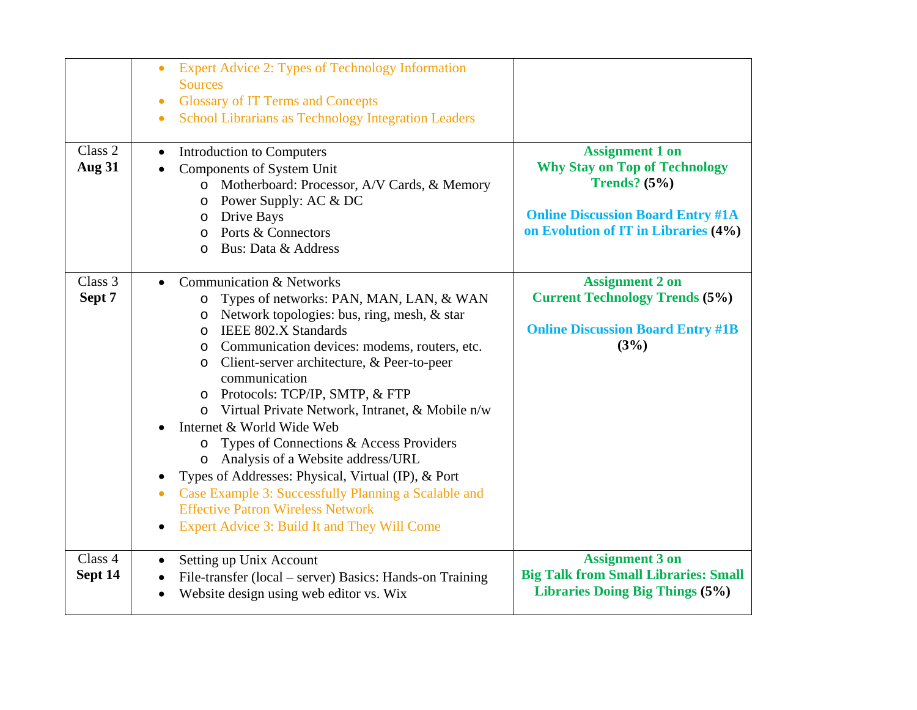|                          | <b>Expert Advice 2: Types of Technology Information</b><br>$\bullet$<br><b>Sources</b><br><b>Glossary of IT Terms and Concepts</b><br>$\bullet$<br><b>School Librarians as Technology Integration Leaders</b><br>$\bullet$                                                                                                                                                                                                                                                                                                                                                                                                                                                                                                                             |                                                                                                                                                                      |
|--------------------------|--------------------------------------------------------------------------------------------------------------------------------------------------------------------------------------------------------------------------------------------------------------------------------------------------------------------------------------------------------------------------------------------------------------------------------------------------------------------------------------------------------------------------------------------------------------------------------------------------------------------------------------------------------------------------------------------------------------------------------------------------------|----------------------------------------------------------------------------------------------------------------------------------------------------------------------|
| Class 2<br><b>Aug 31</b> | <b>Introduction to Computers</b><br>$\bullet$<br>Components of System Unit<br>Motherboard: Processor, A/V Cards, & Memory<br>$\circ$<br>Power Supply: AC & DC<br>$\circ$<br>Drive Bays<br>$\circ$<br>Ports & Connectors<br>$\circ$<br>Bus: Data & Address<br>$\Omega$                                                                                                                                                                                                                                                                                                                                                                                                                                                                                  | <b>Assignment 1 on</b><br><b>Why Stay on Top of Technology</b><br>Trends? $(5%)$<br><b>Online Discussion Board Entry #1A</b><br>on Evolution of IT in Libraries (4%) |
| Class 3<br>Sept 7        | Communication & Networks<br>Types of networks: PAN, MAN, LAN, & WAN<br>$\circ$<br>Network topologies: bus, ring, mesh, & star<br>$\circ$<br>IEEE 802.X Standards<br>$\circ$<br>Communication devices: modems, routers, etc.<br>$\circ$<br>Client-server architecture, & Peer-to-peer<br>$\circ$<br>communication<br>o Protocols: TCP/IP, SMTP, & FTP<br>o Virtual Private Network, Intranet, & Mobile n/w<br>Internet & World Wide Web<br>Types of Connections & Access Providers<br>$\circ$<br>Analysis of a Website address/URL<br>$\circ$<br>Types of Addresses: Physical, Virtual (IP), & Port<br>Case Example 3: Successfully Planning a Scalable and<br><b>Effective Patron Wireless Network</b><br>Expert Advice 3: Build It and They Will Come | <b>Assignment 2 on</b><br><b>Current Technology Trends (5%)</b><br><b>Online Discussion Board Entry #1B</b><br>(3%)                                                  |
| Class 4<br>Sept 14       | Setting up Unix Account<br>File-transfer (local - server) Basics: Hands-on Training<br>$\bullet$<br>Website design using web editor vs. Wix                                                                                                                                                                                                                                                                                                                                                                                                                                                                                                                                                                                                            | <b>Assignment 3 on</b><br><b>Big Talk from Small Libraries: Small</b><br><b>Libraries Doing Big Things (5%)</b>                                                      |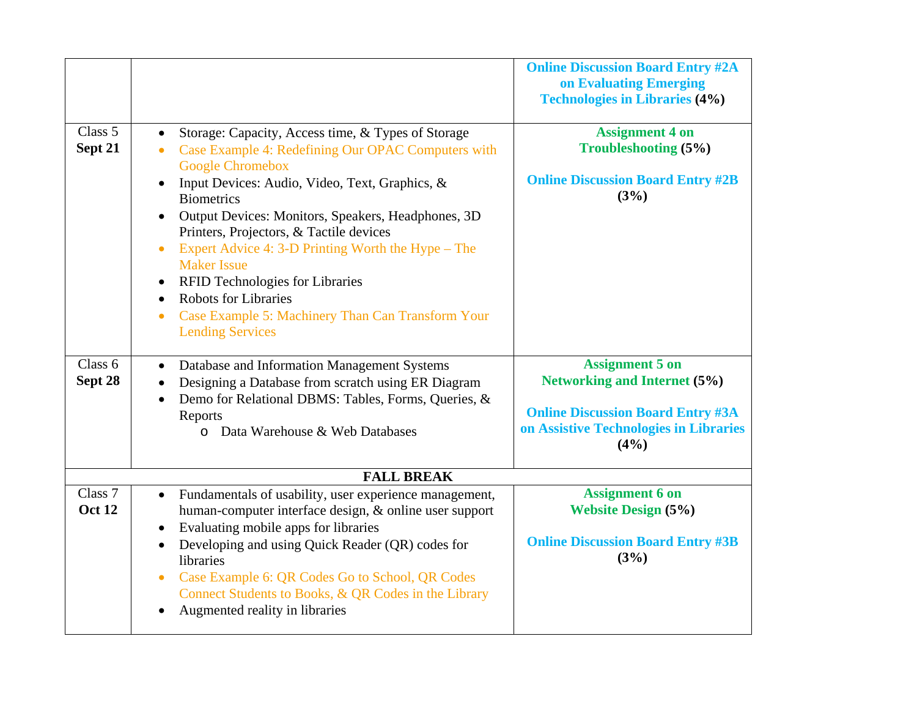|                          |                                                                                                                                                                                                                                                                                                                                                                                                                                                                                                                                                                                                                                                   | <b>Online Discussion Board Entry #2A</b><br>on Evaluating Emerging<br><b>Technologies in Libraries (4%)</b>                                                    |
|--------------------------|---------------------------------------------------------------------------------------------------------------------------------------------------------------------------------------------------------------------------------------------------------------------------------------------------------------------------------------------------------------------------------------------------------------------------------------------------------------------------------------------------------------------------------------------------------------------------------------------------------------------------------------------------|----------------------------------------------------------------------------------------------------------------------------------------------------------------|
| Class 5<br>Sept 21       | Storage: Capacity, Access time, & Types of Storage<br>$\bullet$<br>Case Example 4: Redefining Our OPAC Computers with<br>$\bullet$<br><b>Google Chromebox</b><br>Input Devices: Audio, Video, Text, Graphics, &<br>$\bullet$<br><b>Biometrics</b><br>Output Devices: Monitors, Speakers, Headphones, 3D<br>$\bullet$<br>Printers, Projectors, & Tactile devices<br>Expert Advice 4: 3-D Printing Worth the Hype – The<br>$\bullet$<br><b>Maker Issue</b><br><b>RFID Technologies for Libraries</b><br>$\bullet$<br>Robots for Libraries<br>$\bullet$<br>Case Example 5: Machinery Than Can Transform Your<br>$\bullet$<br><b>Lending Services</b> | <b>Assignment 4 on</b><br><b>Troubleshooting (5%)</b><br><b>Online Discussion Board Entry #2B</b><br>(3%)                                                      |
| Class 6<br>Sept 28       | Database and Information Management Systems<br>$\bullet$<br>Designing a Database from scratch using ER Diagram<br>٠<br>Demo for Relational DBMS: Tables, Forms, Queries, &<br>$\bullet$<br>Reports<br>O Data Warehouse & Web Databases                                                                                                                                                                                                                                                                                                                                                                                                            | <b>Assignment 5 on</b><br><b>Networking and Internet (5%)</b><br><b>Online Discussion Board Entry #3A</b><br>on Assistive Technologies in Libraries<br>$(4\%)$ |
|                          | <b>FALL BREAK</b>                                                                                                                                                                                                                                                                                                                                                                                                                                                                                                                                                                                                                                 |                                                                                                                                                                |
| Class 7<br><b>Oct 12</b> | Fundamentals of usability, user experience management,<br>$\bullet$<br>human-computer interface design, & online user support<br>Evaluating mobile apps for libraries<br>$\bullet$<br>Developing and using Quick Reader (QR) codes for<br>$\bullet$<br>libraries<br>Case Example 6: QR Codes Go to School, QR Codes<br>$\bullet$<br>Connect Students to Books, & QR Codes in the Library<br>Augmented reality in libraries                                                                                                                                                                                                                        | <b>Assignment 6 on</b><br><b>Website Design (5%)</b><br><b>Online Discussion Board Entry #3B</b><br>(3%)                                                       |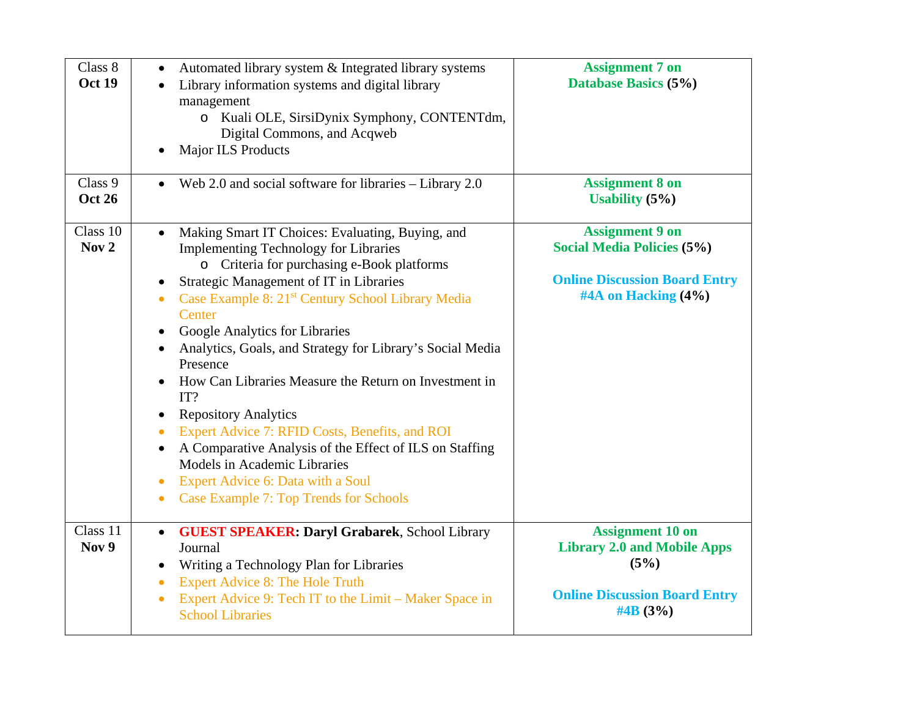| Class 8<br><b>Oct 19</b>     | Automated library system & Integrated library systems<br>$\bullet$<br>Library information systems and digital library<br>$\bullet$<br>management<br>o Kuali OLE, SirsiDynix Symphony, CONTENTdm,<br>Digital Commons, and Acqweb<br><b>Major ILS Products</b>                                                                                                                                                                                                                                                                                                                                                                                                                                                                                                                                          | <b>Assignment 7 on</b><br><b>Database Basics (5%)</b>                                                                        |
|------------------------------|-------------------------------------------------------------------------------------------------------------------------------------------------------------------------------------------------------------------------------------------------------------------------------------------------------------------------------------------------------------------------------------------------------------------------------------------------------------------------------------------------------------------------------------------------------------------------------------------------------------------------------------------------------------------------------------------------------------------------------------------------------------------------------------------------------|------------------------------------------------------------------------------------------------------------------------------|
| Class 9<br><b>Oct 26</b>     | Web 2.0 and social software for libraries $-$ Library 2.0<br>$\bullet$                                                                                                                                                                                                                                                                                                                                                                                                                                                                                                                                                                                                                                                                                                                                | <b>Assignment 8 on</b><br>Usability $(5%)$                                                                                   |
| Class 10<br>Nov <sub>2</sub> | Making Smart IT Choices: Evaluating, Buying, and<br>$\bullet$<br><b>Implementing Technology for Libraries</b><br>o Criteria for purchasing e-Book platforms<br>Strategic Management of IT in Libraries<br>$\bullet$<br>Case Example 8: 21 <sup>st</sup> Century School Library Media<br>$\bullet$<br>Center<br>Google Analytics for Libraries<br>Analytics, Goals, and Strategy for Library's Social Media<br>Presence<br>How Can Libraries Measure the Return on Investment in<br>IT?<br><b>Repository Analytics</b><br>Expert Advice 7: RFID Costs, Benefits, and ROI<br>$\bullet$<br>A Comparative Analysis of the Effect of ILS on Staffing<br>$\bullet$<br>Models in Academic Libraries<br>Expert Advice 6: Data with a Soul<br>$\bullet$<br>Case Example 7: Top Trends for Schools<br>$\bullet$ | <b>Assignment 9 on</b><br><b>Social Media Policies (5%)</b><br><b>Online Discussion Board Entry</b><br>#4A on Hacking (4%)   |
| Class 11<br>Nov 9            | <b>GUEST SPEAKER: Daryl Grabarek, School Library</b><br>$\bullet$<br>Journal<br>Writing a Technology Plan for Libraries<br>$\bullet$<br><b>Expert Advice 8: The Hole Truth</b><br>$\bullet$<br>Expert Advice 9: Tech IT to the Limit – Maker Space in<br>$\bullet$<br><b>School Libraries</b>                                                                                                                                                                                                                                                                                                                                                                                                                                                                                                         | <b>Assignment 10 on</b><br><b>Library 2.0 and Mobile Apps</b><br>(5%)<br><b>Online Discussion Board Entry</b><br>$\#4B(3\%)$ |